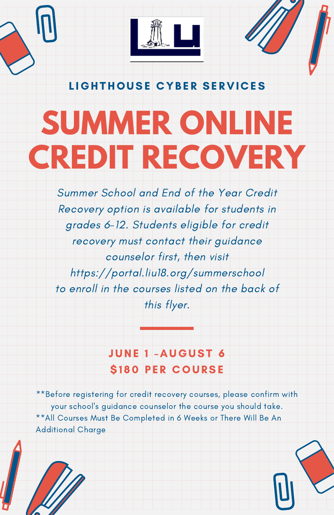

LIGHTHOUSE CYBER SERVICES

# **SUMMER ONLINE CREDIT RECOVERY**

Summer School and End of the Year Credit Recovery option is available for students in grades 6-12. Students eligible for credit recovery must contact their guidance counselor first, then visit https://portal.liu18.org/summerschool to enroll in the courses listed on the back of this flyer.

## JUNE 1 -AUGUST 6 *S180 PER COURSE*

\*\*Before registering for credit recovery courses, please confirm with your school's guidance counselor the course you should take. \*\*All Courses Must Be Completed in 6 Weeks or There Will Be An Additional Charge